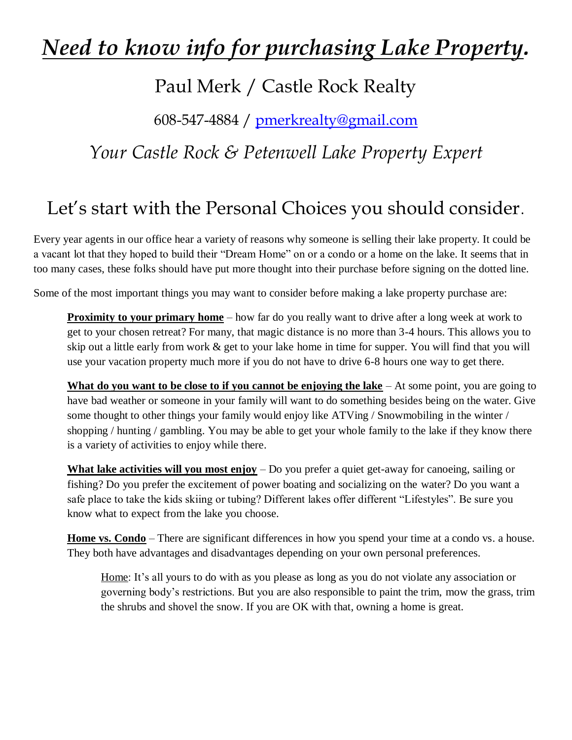# *Need to know info for purchasing Lake Property.*

#### Paul Merk / Castle Rock Realty

608-547-4884 / [pmerkrealty@gmail.com](mailto:pmerkrealty@gmail.com)

#### *Your Castle Rock & Petenwell Lake Property Expert*

### Let's start with the Personal Choices you should consider.

Every year agents in our office hear a variety of reasons why someone is selling their lake property. It could be a vacant lot that they hoped to build their "Dream Home" on or a condo or a home on the lake. It seems that in too many cases, these folks should have put more thought into their purchase before signing on the dotted line.

Some of the most important things you may want to consider before making a lake property purchase are:

**Proximity to your primary home** – how far do you really want to drive after a long week at work to get to your chosen retreat? For many, that magic distance is no more than 3-4 hours. This allows you to skip out a little early from work & get to your lake home in time for supper. You will find that you will use your vacation property much more if you do not have to drive 6-8 hours one way to get there.

**What do you want to be close to if you cannot be enjoying the lake** – At some point, you are going to have bad weather or someone in your family will want to do something besides being on the water. Give some thought to other things your family would enjoy like ATVing / Snowmobiling in the winter / shopping / hunting / gambling. You may be able to get your whole family to the lake if they know there is a variety of activities to enjoy while there.

**What lake activities will you most enjoy** – Do you prefer a quiet get-away for canoeing, sailing or fishing? Do you prefer the excitement of power boating and socializing on the water? Do you want a safe place to take the kids skiing or tubing? Different lakes offer different "Lifestyles". Be sure you know what to expect from the lake you choose.

**Home vs. Condo** – There are significant differences in how you spend your time at a condo vs. a house. They both have advantages and disadvantages depending on your own personal preferences.

Home: It's all yours to do with as you please as long as you do not violate any association or governing body's restrictions. But you are also responsible to paint the trim, mow the grass, trim the shrubs and shovel the snow. If you are OK with that, owning a home is great.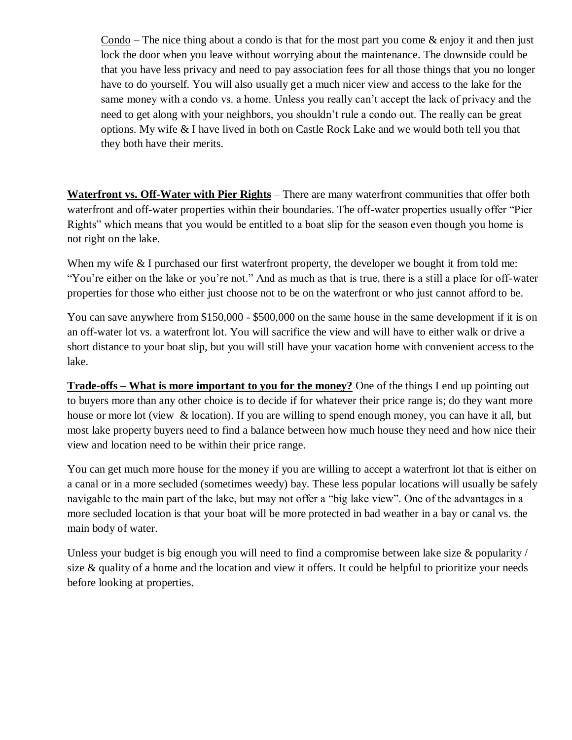Condo – The nice thing about a condo is that for the most part you come  $\&$  enjoy it and then just lock the door when you leave without worrying about the maintenance. The downside could be that you have less privacy and need to pay association fees for all those things that you no longer have to do yourself. You will also usually get a much nicer view and access to the lake for the same money with a condo vs. a home. Unless you really can't accept the lack of privacy and the need to get along with your neighbors, you shouldn't rule a condo out. The really can be great options. My wife & I have lived in both on Castle Rock Lake and we would both tell you that they both have their merits.

**Waterfront vs. Off-Water with Pier Rights** – There are many waterfront communities that offer both waterfront and off-water properties within their boundaries. The off-water properties usually offer "Pier Rights" which means that you would be entitled to a boat slip for the season even though you home is not right on the lake.

When my wife & I purchased our first waterfront property, the developer we bought it from told me: "You're either on the lake or you're not." And as much as that is true, there is a still a place for off-water properties for those who either just choose not to be on the waterfront or who just cannot afford to be.

You can save anywhere from \$150,000 - \$500,000 on the same house in the same development if it is on an off-water lot vs. a waterfront lot. You will sacrifice the view and will have to either walk or drive a short distance to your boat slip, but you will still have your vacation home with convenient access to the lake.

**Trade-offs – What is more important to you for the money?** One of the things I end up pointing out to buyers more than any other choice is to decide if for whatever their price range is; do they want more house or more lot (view & location). If you are willing to spend enough money, you can have it all, but most lake property buyers need to find a balance between how much house they need and how nice their view and location need to be within their price range.

You can get much more house for the money if you are willing to accept a waterfront lot that is either on a canal or in a more secluded (sometimes weedy) bay. These less popular locations will usually be safely navigable to the main part of the lake, but may not offer a "big lake view". One of the advantages in a more secluded location is that your boat will be more protected in bad weather in a bay or canal vs. the main body of water.

Unless your budget is big enough you will need to find a compromise between lake size & popularity / size & quality of a home and the location and view it offers. It could be helpful to prioritize your needs before looking at properties.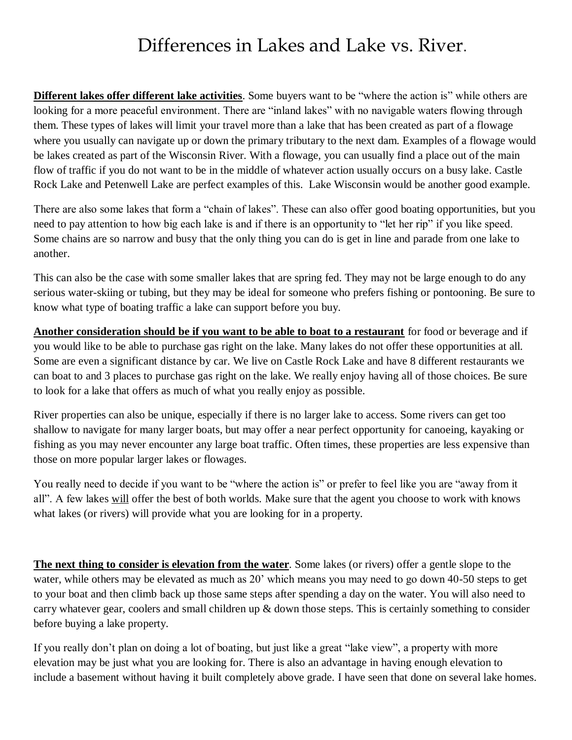#### Differences in Lakes and Lake vs. River.

**Different lakes offer different lake activities**. Some buyers want to be "where the action is" while others are looking for a more peaceful environment. There are "inland lakes" with no navigable waters flowing through them. These types of lakes will limit your travel more than a lake that has been created as part of a flowage where you usually can navigate up or down the primary tributary to the next dam. Examples of a flowage would be lakes created as part of the Wisconsin River. With a flowage, you can usually find a place out of the main flow of traffic if you do not want to be in the middle of whatever action usually occurs on a busy lake. Castle Rock Lake and Petenwell Lake are perfect examples of this. Lake Wisconsin would be another good example.

There are also some lakes that form a "chain of lakes". These can also offer good boating opportunities, but you need to pay attention to how big each lake is and if there is an opportunity to "let her rip" if you like speed. Some chains are so narrow and busy that the only thing you can do is get in line and parade from one lake to another.

This can also be the case with some smaller lakes that are spring fed. They may not be large enough to do any serious water-skiing or tubing, but they may be ideal for someone who prefers fishing or pontooning. Be sure to know what type of boating traffic a lake can support before you buy.

**Another consideration should be if you want to be able to boat to a restaurant** for food or beverage and if you would like to be able to purchase gas right on the lake. Many lakes do not offer these opportunities at all. Some are even a significant distance by car. We live on Castle Rock Lake and have 8 different restaurants we can boat to and 3 places to purchase gas right on the lake. We really enjoy having all of those choices. Be sure to look for a lake that offers as much of what you really enjoy as possible.

River properties can also be unique, especially if there is no larger lake to access. Some rivers can get too shallow to navigate for many larger boats, but may offer a near perfect opportunity for canoeing, kayaking or fishing as you may never encounter any large boat traffic. Often times, these properties are less expensive than those on more popular larger lakes or flowages.

You really need to decide if you want to be "where the action is" or prefer to feel like you are "away from it all". A few lakes will offer the best of both worlds. Make sure that the agent you choose to work with knows what lakes (or rivers) will provide what you are looking for in a property.

**The next thing to consider is elevation from the water**. Some lakes (or rivers) offer a gentle slope to the water, while others may be elevated as much as 20' which means you may need to go down 40-50 steps to get to your boat and then climb back up those same steps after spending a day on the water. You will also need to carry whatever gear, coolers and small children up & down those steps. This is certainly something to consider before buying a lake property.

If you really don't plan on doing a lot of boating, but just like a great "lake view", a property with more elevation may be just what you are looking for. There is also an advantage in having enough elevation to include a basement without having it built completely above grade. I have seen that done on several lake homes.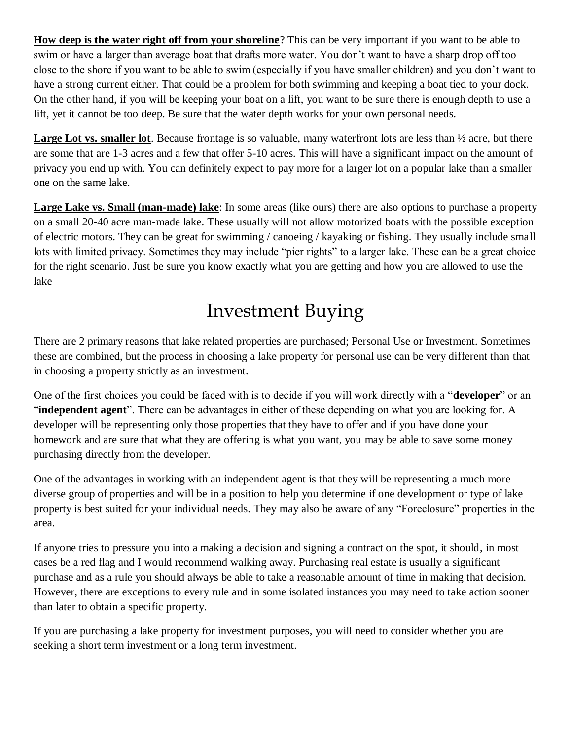**How deep is the water right off from your shoreline**? This can be very important if you want to be able to swim or have a larger than average boat that drafts more water. You don't want to have a sharp drop off too close to the shore if you want to be able to swim (especially if you have smaller children) and you don't want to have a strong current either. That could be a problem for both swimming and keeping a boat tied to your dock. On the other hand, if you will be keeping your boat on a lift, you want to be sure there is enough depth to use a lift, yet it cannot be too deep. Be sure that the water depth works for your own personal needs.

**Large Lot vs. smaller lot**. Because frontage is so valuable, many waterfront lots are less than ½ acre, but there are some that are 1-3 acres and a few that offer 5-10 acres. This will have a significant impact on the amount of privacy you end up with. You can definitely expect to pay more for a larger lot on a popular lake than a smaller one on the same lake.

**Large Lake vs. Small (man-made) lake**: In some areas (like ours) there are also options to purchase a property on a small 20-40 acre man-made lake. These usually will not allow motorized boats with the possible exception of electric motors. They can be great for swimming / canoeing / kayaking or fishing. They usually include small lots with limited privacy. Sometimes they may include "pier rights" to a larger lake. These can be a great choice for the right scenario. Just be sure you know exactly what you are getting and how you are allowed to use the lake

## Investment Buying

There are 2 primary reasons that lake related properties are purchased; Personal Use or Investment. Sometimes these are combined, but the process in choosing a lake property for personal use can be very different than that in choosing a property strictly as an investment.

One of the first choices you could be faced with is to decide if you will work directly with a "**developer**" or an "**independent agent**". There can be advantages in either of these depending on what you are looking for. A developer will be representing only those properties that they have to offer and if you have done your homework and are sure that what they are offering is what you want, you may be able to save some money purchasing directly from the developer.

One of the advantages in working with an independent agent is that they will be representing a much more diverse group of properties and will be in a position to help you determine if one development or type of lake property is best suited for your individual needs. They may also be aware of any "Foreclosure" properties in the area.

If anyone tries to pressure you into a making a decision and signing a contract on the spot, it should, in most cases be a red flag and I would recommend walking away. Purchasing real estate is usually a significant purchase and as a rule you should always be able to take a reasonable amount of time in making that decision. However, there are exceptions to every rule and in some isolated instances you may need to take action sooner than later to obtain a specific property.

If you are purchasing a lake property for investment purposes, you will need to consider whether you are seeking a short term investment or a long term investment.